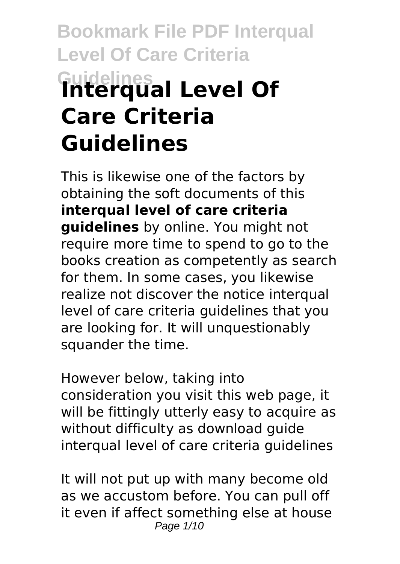# **Bookmark File PDF Interqual Level Of Care Criteria Guidelines Interqual Level Of Care Criteria Guidelines**

This is likewise one of the factors by obtaining the soft documents of this **interqual level of care criteria guidelines** by online. You might not require more time to spend to go to the books creation as competently as search for them. In some cases, you likewise realize not discover the notice interqual level of care criteria guidelines that you are looking for. It will unquestionably squander the time.

However below, taking into consideration you visit this web page, it will be fittingly utterly easy to acquire as without difficulty as download guide interqual level of care criteria guidelines

It will not put up with many become old as we accustom before. You can pull off it even if affect something else at house Page 1/10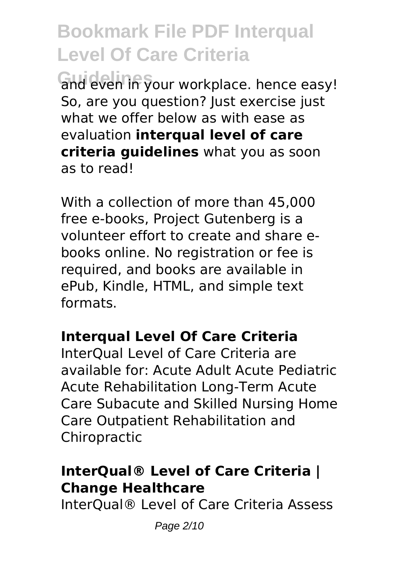and even in your workplace. hence easy! So, are you question? Just exercise just what we offer below as with ease as evaluation **interqual level of care criteria guidelines** what you as soon as to read!

With a collection of more than 45,000 free e-books, Project Gutenberg is a volunteer effort to create and share ebooks online. No registration or fee is required, and books are available in ePub, Kindle, HTML, and simple text formats.

#### **Interqual Level Of Care Criteria**

InterQual Level of Care Criteria are available for: Acute Adult Acute Pediatric Acute Rehabilitation Long-Term Acute Care Subacute and Skilled Nursing Home Care Outpatient Rehabilitation and Chiropractic

## **InterQual® Level of Care Criteria | Change Healthcare**

InterQual® Level of Care Criteria Assess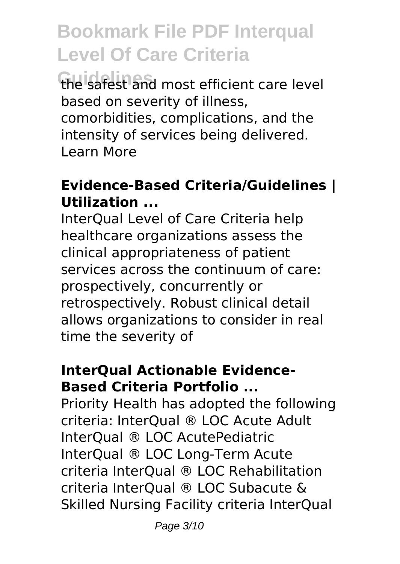**Guidelines** the safest and most efficient care level based on severity of illness, comorbidities, complications, and the intensity of services being delivered. Learn More

## **Evidence-Based Criteria/Guidelines | Utilization ...**

InterQual Level of Care Criteria help healthcare organizations assess the clinical appropriateness of patient services across the continuum of care: prospectively, concurrently or retrospectively. Robust clinical detail allows organizations to consider in real time the severity of

### **InterQual Actionable Evidence-Based Criteria Portfolio ...**

Priority Health has adopted the following criteria: InterQual ® LOC Acute Adult InterQual ® LOC AcutePediatric InterQual ® LOC Long-Term Acute criteria InterQual ® LOC Rehabilitation criteria InterQual ® LOC Subacute & Skilled Nursing Facility criteria InterQual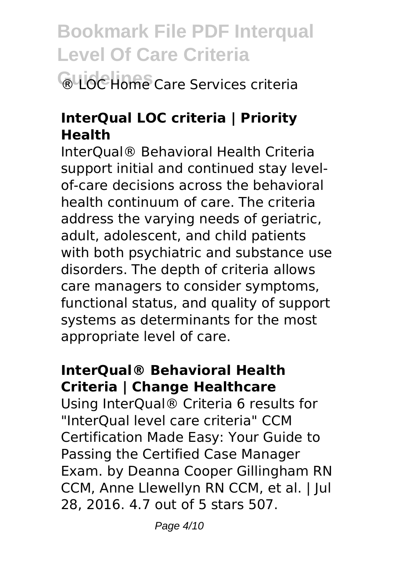## **Bookmark File PDF Interqual Level Of Care Criteria GUOC Home Care Services criteria**

## **InterQual LOC criteria | Priority Health**

InterQual® Behavioral Health Criteria support initial and continued stay levelof-care decisions across the behavioral health continuum of care. The criteria address the varying needs of geriatric, adult, adolescent, and child patients with both psychiatric and substance use disorders. The depth of criteria allows care managers to consider symptoms, functional status, and quality of support systems as determinants for the most appropriate level of care.

## **InterQual® Behavioral Health Criteria | Change Healthcare**

Using InterQual® Criteria 6 results for "InterQual level care criteria" CCM Certification Made Easy: Your Guide to Passing the Certified Case Manager Exam. by Deanna Cooper Gillingham RN CCM, Anne Llewellyn RN CCM, et al. | Jul 28, 2016. 4.7 out of 5 stars 507.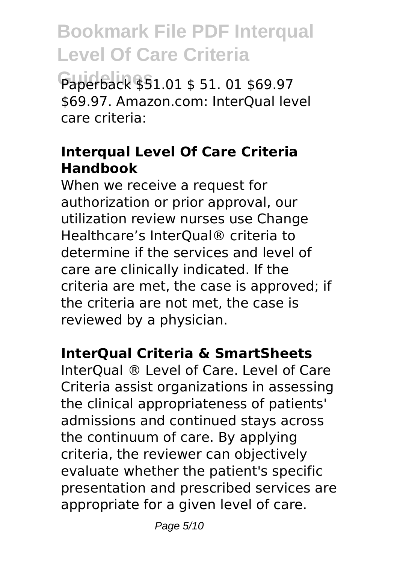Paperback \$51.01 \$ 51. 01 \$69.97 \$69.97. Amazon.com: InterQual level care criteria:

## **Interqual Level Of Care Criteria Handbook**

When we receive a request for authorization or prior approval, our utilization review nurses use Change Healthcare's InterQual® criteria to determine if the services and level of care are clinically indicated. If the criteria are met, the case is approved; if the criteria are not met, the case is reviewed by a physician.

## **InterQual Criteria & SmartSheets**

InterQual ® Level of Care. Level of Care Criteria assist organizations in assessing the clinical appropriateness of patients' admissions and continued stays across the continuum of care. By applying criteria, the reviewer can objectively evaluate whether the patient's specific presentation and prescribed services are appropriate for a given level of care.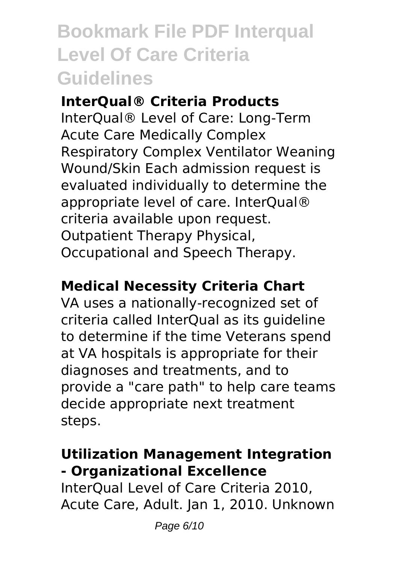#### **InterQual® Criteria Products**

InterQual® Level of Care: Long-Term Acute Care Medically Complex Respiratory Complex Ventilator Weaning Wound/Skin Each admission request is evaluated individually to determine the appropriate level of care. InterQual® criteria available upon request. Outpatient Therapy Physical, Occupational and Speech Therapy.

### **Medical Necessity Criteria Chart**

VA uses a nationally-recognized set of criteria called InterQual as its guideline to determine if the time Veterans spend at VA hospitals is appropriate for their diagnoses and treatments, and to provide a "care path" to help care teams decide appropriate next treatment steps.

## **Utilization Management Integration - Organizational Excellence**

InterQual Level of Care Criteria 2010, Acute Care, Adult. Jan 1, 2010. Unknown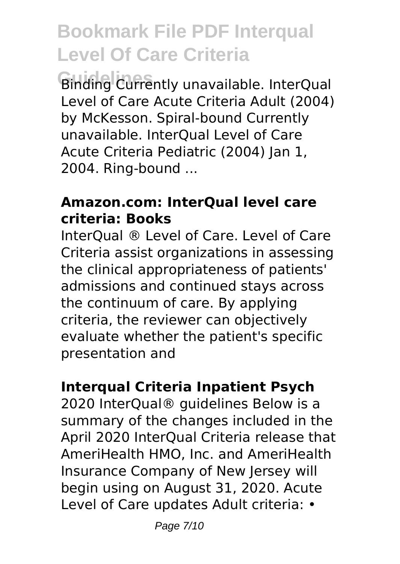**Guidelines** Binding Currently unavailable. InterQual Level of Care Acute Criteria Adult (2004) by McKesson. Spiral-bound Currently unavailable. InterQual Level of Care Acute Criteria Pediatric (2004) Jan 1, 2004. Ring-bound ...

#### **Amazon.com: InterQual level care criteria: Books**

InterQual ® Level of Care. Level of Care Criteria assist organizations in assessing the clinical appropriateness of patients' admissions and continued stays across the continuum of care. By applying criteria, the reviewer can objectively evaluate whether the patient's specific presentation and

## **Interqual Criteria Inpatient Psych**

2020 InterQual® guidelines Below is a summary of the changes included in the April 2020 InterQual Criteria release that AmeriHealth HMO, Inc. and AmeriHealth Insurance Company of New Jersey will begin using on August 31, 2020. Acute Level of Care updates Adult criteria: •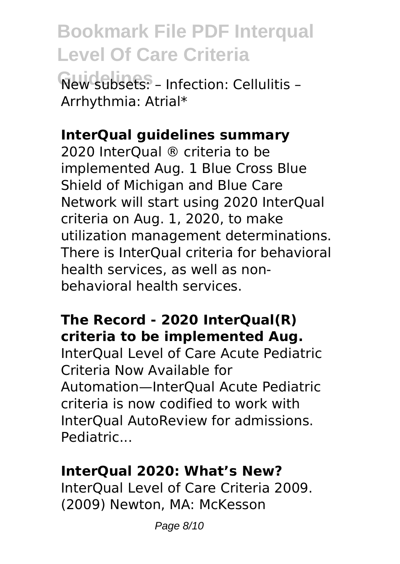**Guidelines** New subsets: – Infection: Cellulitis – Arrhythmia: Atrial\*

#### **InterQual guidelines summary**

2020 InterQual ® criteria to be implemented Aug. 1 Blue Cross Blue Shield of Michigan and Blue Care Network will start using 2020 InterQual criteria on Aug. 1, 2020, to make utilization management determinations. There is InterQual criteria for behavioral health services, as well as nonbehavioral health services.

## **The Record - 2020 InterQual(R) criteria to be implemented Aug.**

InterQual Level of Care Acute Pediatric Criteria Now Available for Automation—InterQual Acute Pediatric criteria is now codified to work with InterQual AutoReview for admissions. Pediatric...

#### **InterQual 2020: What's New?**

InterQual Level of Care Criteria 2009. (2009) Newton, MA: McKesson

Page 8/10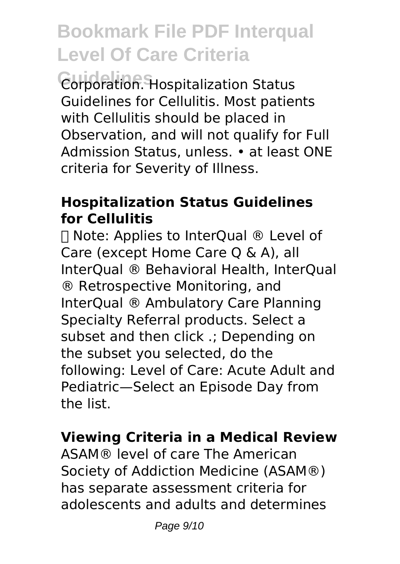**Guidelines** Corporation. Hospitalization Status Guidelines for Cellulitis. Most patients with Cellulitis should be placed in Observation, and will not qualify for Full Admission Status, unless. • at least ONE criteria for Severity of Illness.

## **Hospitalization Status Guidelines for Cellulitis**

ⓘ Note: Applies to InterQual ® Level of Care (except Home Care Q & A), all InterQual ® Behavioral Health, InterQual ® Retrospective Monitoring, and InterQual ® Ambulatory Care Planning Specialty Referral products. Select a subset and then click .; Depending on the subset you selected, do the following: Level of Care: Acute Adult and Pediatric—Select an Episode Day from the list.

## **Viewing Criteria in a Medical Review**

ASAM® level of care The American Society of Addiction Medicine (ASAM®) has separate assessment criteria for adolescents and adults and determines